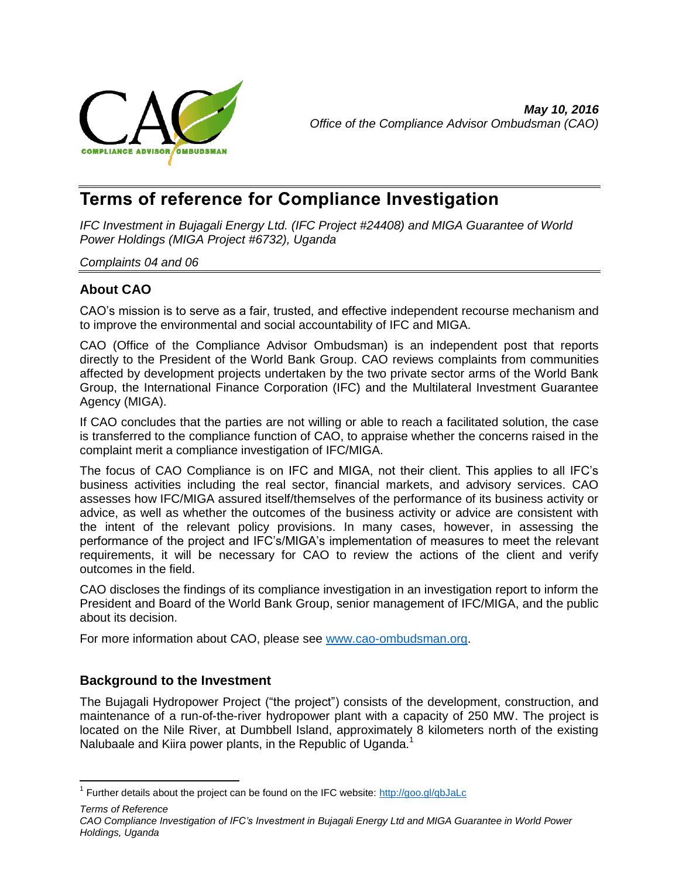

# **Terms of reference for Compliance Investigation**

*IFC Investment in Bujagali Energy Ltd. (IFC Project #24408) and MIGA Guarantee of World Power Holdings (MIGA Project #6732), Uganda*

#### *Complaints 04 and 06*

# **About CAO**

CAO's mission is to serve as a fair, trusted, and effective independent recourse mechanism and to improve the environmental and social accountability of IFC and MIGA.

CAO (Office of the Compliance Advisor Ombudsman) is an independent post that reports directly to the President of the World Bank Group. CAO reviews complaints from communities affected by development projects undertaken by the two private sector arms of the World Bank Group, the International Finance Corporation (IFC) and the Multilateral Investment Guarantee Agency (MIGA).

If CAO concludes that the parties are not willing or able to reach a facilitated solution, the case is transferred to the compliance function of CAO, to appraise whether the concerns raised in the complaint merit a compliance investigation of IFC/MIGA.

The focus of CAO Compliance is on IFC and MIGA, not their client. This applies to all IFC's business activities including the real sector, financial markets, and advisory services. CAO assesses how IFC/MIGA assured itself/themselves of the performance of its business activity or advice, as well as whether the outcomes of the business activity or advice are consistent with the intent of the relevant policy provisions. In many cases, however, in assessing the performance of the project and IFC's/MIGA's implementation of measures to meet the relevant requirements, it will be necessary for CAO to review the actions of the client and verify outcomes in the field.

CAO discloses the findings of its compliance investigation in an investigation report to inform the President and Board of the World Bank Group, senior management of IFC/MIGA, and the public about its decision.

For more information about CAO, please see [www.cao-ombudsman.org.](http://www.cao-ombudsman.org/)

# **Background to the Investment**

 $\overline{\phantom{a}}$ 

The Bujagali Hydropower Project ("the project") consists of the development, construction, and maintenance of a run-of-the-river hydropower plant with a capacity of 250 MW. The project is located on the Nile River, at Dumbbell Island, approximately 8 kilometers north of the existing Nalubaale and Kiira power plants, in the Republic of Uganda.<sup>1</sup>

*Terms of Reference CAO Compliance Investigation of IFC's Investment in Bujagali Energy Ltd and MIGA Guarantee in World Power Holdings, Uganda*

<sup>&</sup>lt;sup>1</sup> Further details about the project can be found on the IFC website:<http://goo.gl/qbJaLc>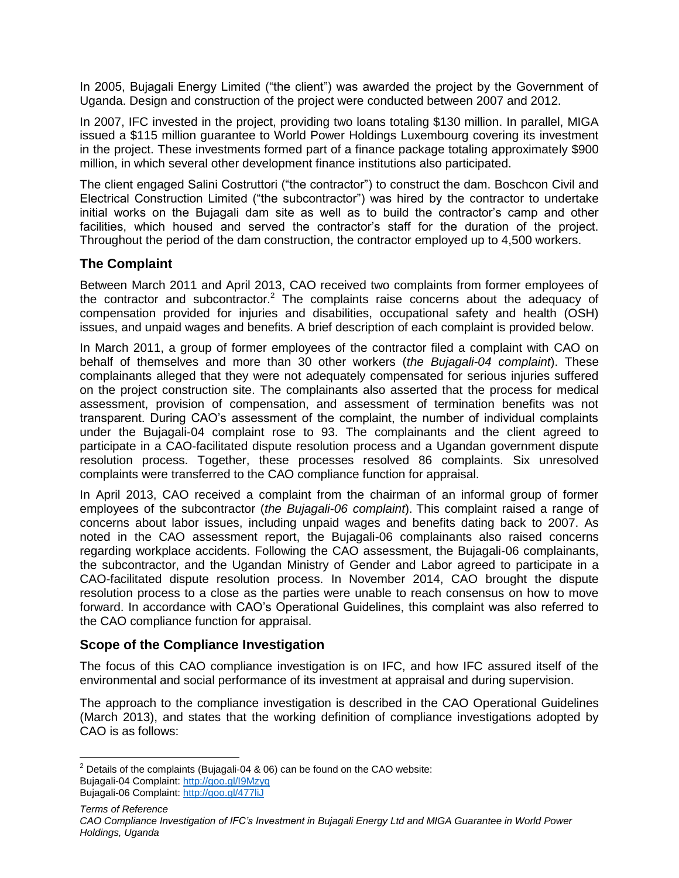In 2005, Bujagali Energy Limited ("the client") was awarded the project by the Government of Uganda. Design and construction of the project were conducted between 2007 and 2012.

In 2007, IFC invested in the project, providing two loans totaling \$130 million. In parallel, MIGA issued a \$115 million guarantee to World Power Holdings Luxembourg covering its investment in the project. These investments formed part of a finance package totaling approximately \$900 million, in which several other development finance institutions also participated.

The client engaged Salini Costruttori ("the contractor") to construct the dam. Boschcon Civil and Electrical Construction Limited ("the subcontractor") was hired by the contractor to undertake initial works on the Bujagali dam site as well as to build the contractor's camp and other facilities, which housed and served the contractor's staff for the duration of the project. Throughout the period of the dam construction, the contractor employed up to 4,500 workers.

# **The Complaint**

Between March 2011 and April 2013, CAO received two complaints from former employees of the contractor and subcontractor.<sup>2</sup> The complaints raise concerns about the adequacy of compensation provided for injuries and disabilities, occupational safety and health (OSH) issues, and unpaid wages and benefits. A brief description of each complaint is provided below.

In March 2011, a group of former employees of the contractor filed a complaint with CAO on behalf of themselves and more than 30 other workers (*the Bujagali-04 complaint*). These complainants alleged that they were not adequately compensated for serious injuries suffered on the project construction site. The complainants also asserted that the process for medical assessment, provision of compensation, and assessment of termination benefits was not transparent. During CAO's assessment of the complaint, the number of individual complaints under the Bujagali-04 complaint rose to 93. The complainants and the client agreed to participate in a CAO-facilitated dispute resolution process and a Ugandan government dispute resolution process. Together, these processes resolved 86 complaints. Six unresolved complaints were transferred to the CAO compliance function for appraisal.

In April 2013, CAO received a complaint from the chairman of an informal group of former employees of the subcontractor (*the Bujagali-06 complaint*). This complaint raised a range of concerns about labor issues, including unpaid wages and benefits dating back to 2007. As noted in the CAO assessment report, the Bujagali-06 complainants also raised concerns regarding workplace accidents. Following the CAO assessment, the Bujagali-06 complainants, the subcontractor, and the Ugandan Ministry of Gender and Labor agreed to participate in a CAO-facilitated dispute resolution process. In November 2014, CAO brought the dispute resolution process to a close as the parties were unable to reach consensus on how to move forward. In accordance with CAO's Operational Guidelines, this complaint was also referred to the CAO compliance function for appraisal.

# **Scope of the Compliance Investigation**

The focus of this CAO compliance investigation is on IFC, and how IFC assured itself of the environmental and social performance of its investment at appraisal and during supervision.

The approach to the compliance investigation is described in the CAO Operational Guidelines (March 2013), and states that the working definition of compliance investigations adopted by CAO is as follows:

 $\overline{\phantom{a}}$ <sup>2</sup> Details of the complaints (Bujagali-04 & 06) can be found on the CAO website: Bujagali-04 Complaint:<http://goo.gl/I9Mzyq>

Bujagali-06 Complaint:<http://goo.gl/477liJ>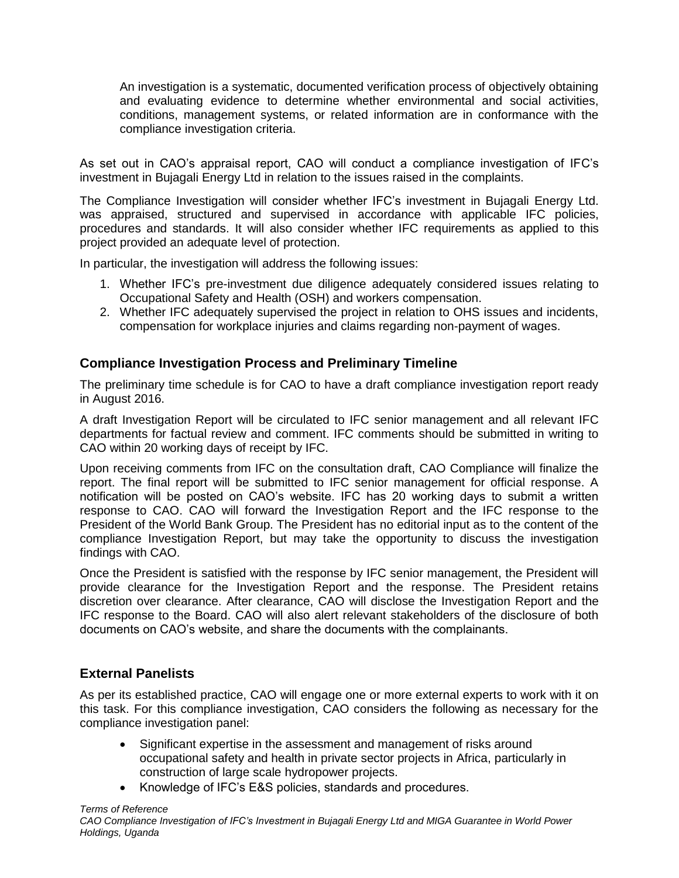An investigation is a systematic, documented verification process of objectively obtaining and evaluating evidence to determine whether environmental and social activities, conditions, management systems, or related information are in conformance with the compliance investigation criteria.

As set out in CAO's appraisal report, CAO will conduct a compliance investigation of IFC's investment in Bujagali Energy Ltd in relation to the issues raised in the complaints.

The Compliance Investigation will consider whether IFC's investment in Bujagali Energy Ltd. was appraised, structured and supervised in accordance with applicable IFC policies, procedures and standards. It will also consider whether IFC requirements as applied to this project provided an adequate level of protection.

In particular, the investigation will address the following issues:

- 1. Whether IFC's pre-investment due diligence adequately considered issues relating to Occupational Safety and Health (OSH) and workers compensation.
- 2. Whether IFC adequately supervised the project in relation to OHS issues and incidents, compensation for workplace injuries and claims regarding non-payment of wages.

# **Compliance Investigation Process and Preliminary Timeline**

The preliminary time schedule is for CAO to have a draft compliance investigation report ready in August 2016.

A draft Investigation Report will be circulated to IFC senior management and all relevant IFC departments for factual review and comment. IFC comments should be submitted in writing to CAO within 20 working days of receipt by IFC.

Upon receiving comments from IFC on the consultation draft, CAO Compliance will finalize the report. The final report will be submitted to IFC senior management for official response. A notification will be posted on CAO's website. IFC has 20 working days to submit a written response to CAO. CAO will forward the Investigation Report and the IFC response to the President of the World Bank Group. The President has no editorial input as to the content of the compliance Investigation Report, but may take the opportunity to discuss the investigation findings with CAO.

Once the President is satisfied with the response by IFC senior management, the President will provide clearance for the Investigation Report and the response. The President retains discretion over clearance. After clearance, CAO will disclose the Investigation Report and the IFC response to the Board. CAO will also alert relevant stakeholders of the disclosure of both documents on CAO's website, and share the documents with the complainants.

# **External Panelists**

As per its established practice, CAO will engage one or more external experts to work with it on this task. For this compliance investigation, CAO considers the following as necessary for the compliance investigation panel:

- Significant expertise in the assessment and management of risks around occupational safety and health in private sector projects in Africa, particularly in construction of large scale hydropower projects.
- Knowledge of IFC's E&S policies, standards and procedures.